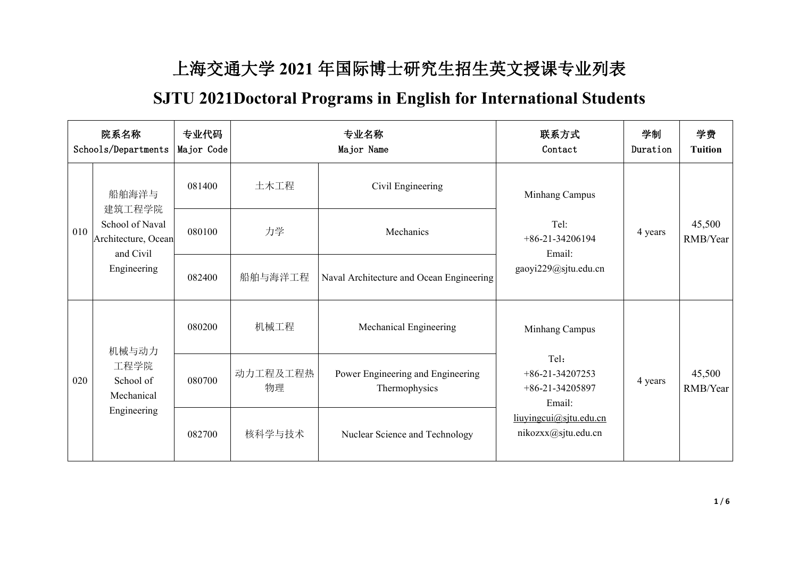## 上海交通大学 **2021** 年国际博士研究生招生英文授课专业列表

## **SJTU 2021Doctoral Programs in English for International Students**

|     | 院系名称<br>Schools/Departments                                                  | 专业代码<br>Major Code |                | 专业名称<br>Major Name                                 | 联系方式<br>Contact                                                                                                             | 学制<br>Duration | 学费<br><b>Tuition</b> |
|-----|------------------------------------------------------------------------------|--------------------|----------------|----------------------------------------------------|-----------------------------------------------------------------------------------------------------------------------------|----------------|----------------------|
|     | 船舶海洋与                                                                        | 081400             | 土木工程           | Civil Engineering                                  | Minhang Campus<br>Tel:<br>$+86-21-34206194$<br>Email:<br>gaoyi229@sjtu.edu.cn                                               | 4 years        | 45,500<br>RMB/Year   |
| 010 | 建筑工程学院<br>School of Naval<br>Architecture, Ocean<br>and Civil<br>Engineering | 080100             | 力学             | Mechanics                                          |                                                                                                                             |                |                      |
|     |                                                                              | 082400             | 船舶与海洋工程        | Naval Architecture and Ocean Engineering           |                                                                                                                             |                |                      |
|     | 机械与动力                                                                        | 080200             | 机械工程           | Mechanical Engineering                             | Minhang Campus<br>Tel:<br>$+86-21-34207253$<br>$+86-21-34205897$<br>Email:<br>liuyingcui@sjtu.edu.cn<br>nikozxx@sjtu.edu.cn | 4 years        | 45,500<br>RMB/Year   |
| 020 | 工程学院<br>School of<br>Mechanical<br>Engineering                               | 080700             | 动力工程及工程热<br>物理 | Power Engineering and Engineering<br>Thermophysics |                                                                                                                             |                |                      |
|     |                                                                              | 082700             | 核科学与技术         | Nuclear Science and Technology                     |                                                                                                                             |                |                      |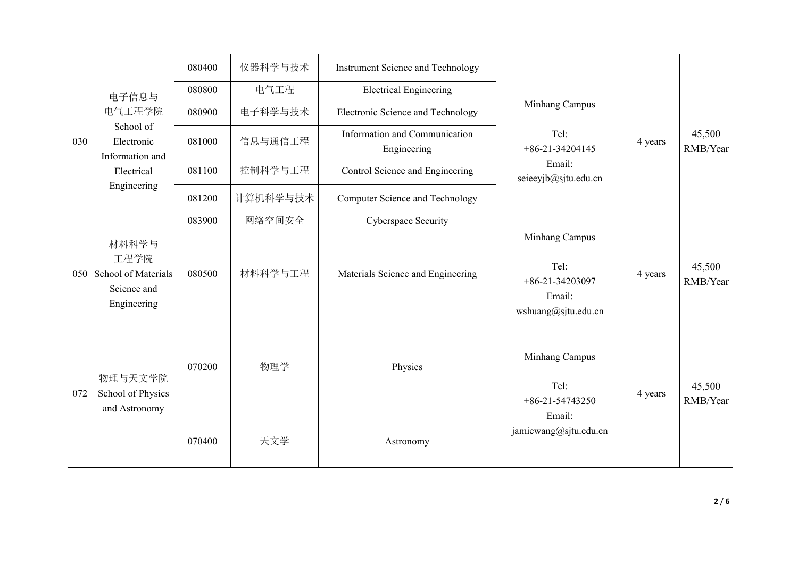|     |                                                                        | 080400 | 仪器科学与技术  | Instrument Science and Technology            |                                                                                |         | 45,500<br>RMB/Year |
|-----|------------------------------------------------------------------------|--------|----------|----------------------------------------------|--------------------------------------------------------------------------------|---------|--------------------|
|     | 电子信息与                                                                  | 080800 | 电气工程     | <b>Electrical Engineering</b>                |                                                                                | 4 years |                    |
|     | 电气工程学院                                                                 | 080900 | 电子科学与技术  | Electronic Science and Technology            | Minhang Campus<br>Tel:<br>$+86-21-34204145$<br>Email:<br>seieeyjb@sjtu.edu.cn  |         |                    |
| 030 | School of<br>Electronic<br>Information and                             | 081000 | 信息与通信工程  | Information and Communication<br>Engineering |                                                                                |         |                    |
|     | Electrical                                                             | 081100 | 控制科学与工程  | Control Science and Engineering              |                                                                                |         |                    |
|     | Engineering                                                            | 081200 | 计算机科学与技术 | Computer Science and Technology              |                                                                                |         |                    |
|     |                                                                        | 083900 | 网络空间安全   | Cyberspace Security                          |                                                                                |         |                    |
|     | 材料科学与<br>工程学院<br>050 School of Materials<br>Science and<br>Engineering | 080500 | 材料科学与工程  | Materials Science and Engineering            | Minhang Campus<br>Tel:<br>$+86-21-34203097$<br>Email:<br>wshuang@sjtu.edu.cn   | 4 years | 45,500<br>RMB/Year |
| 072 | 物理与天文学院<br>School of Physics<br>and Astronomy                          | 070200 | 物理学      | Physics                                      | Minhang Campus<br>Tel:<br>$+86-21-54743250$<br>Email:<br>jamiewang@sjtu.edu.cn | 4 years | 45,500<br>RMB/Year |
|     |                                                                        | 070400 | 天文学      | Astronomy                                    |                                                                                |         |                    |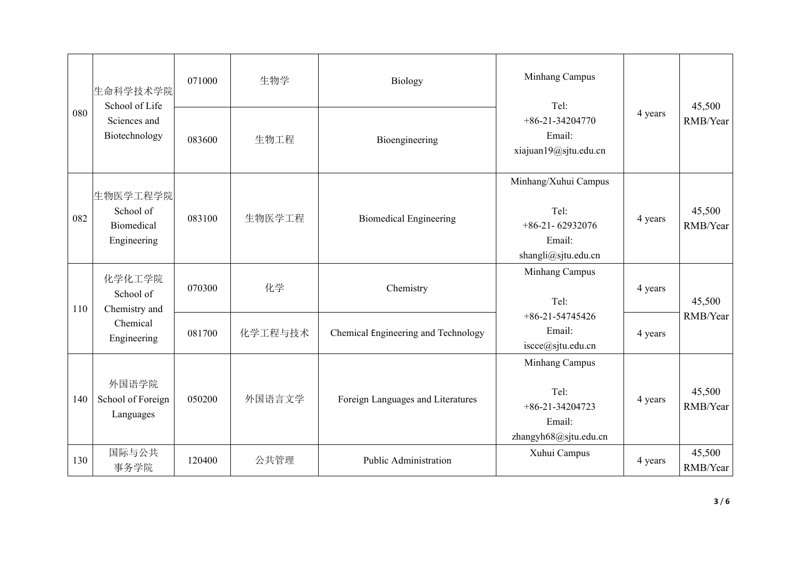| 080 | 生命科学技术学院                                                  | 生物学<br>071000<br>Biology<br>School of Life<br>Tel: |         | Minhang Campus                      |                                                                                    | 45,500  |                    |
|-----|-----------------------------------------------------------|----------------------------------------------------|---------|-------------------------------------|------------------------------------------------------------------------------------|---------|--------------------|
|     | Sciences and<br>Biotechnology                             | 083600                                             | 生物工程    | Bioengineering                      | $+86-21-34204770$<br>Email:<br>xiajuan19@sjtu.edu.cn                               | 4 years | RMB/Year           |
| 082 | 生物医学工程学院<br>School of<br><b>Biomedical</b><br>Engineering | 083100                                             | 生物医学工程  | <b>Biomedical Engineering</b>       | Minhang/Xuhui Campus<br>Tel:<br>$+86-21-62932076$<br>Email:<br>shangli@sjtu.edu.cn | 4 years | 45,500<br>RMB/Year |
| 110 | 化学化工学院<br>School of<br>Chemistry and                      | 070300                                             | 化学      | Chemistry                           | Minhang Campus<br>Tel:                                                             | 4 years | 45,500             |
|     | Chemical<br>Engineering                                   | 081700                                             | 化学工程与技术 | Chemical Engineering and Technology | $+86-21-54745426$<br>Email:<br>iscce@sjtu.edu.cn                                   | 4 years | RMB/Year           |
| 140 | 外国语学院<br>School of Foreign<br>Languages                   | 050200                                             | 外国语言文学  | Foreign Languages and Literatures   | Minhang Campus<br>Tel:<br>$+86-21-34204723$<br>Email:<br>zhangyh68@sjtu.edu.cn     | 4 years | 45,500<br>RMB/Year |
| 130 | 国际与公共<br>事务学院                                             | 120400                                             | 公共管理    | Public Administration               | Xuhui Campus                                                                       | 4 years | 45,500<br>RMB/Year |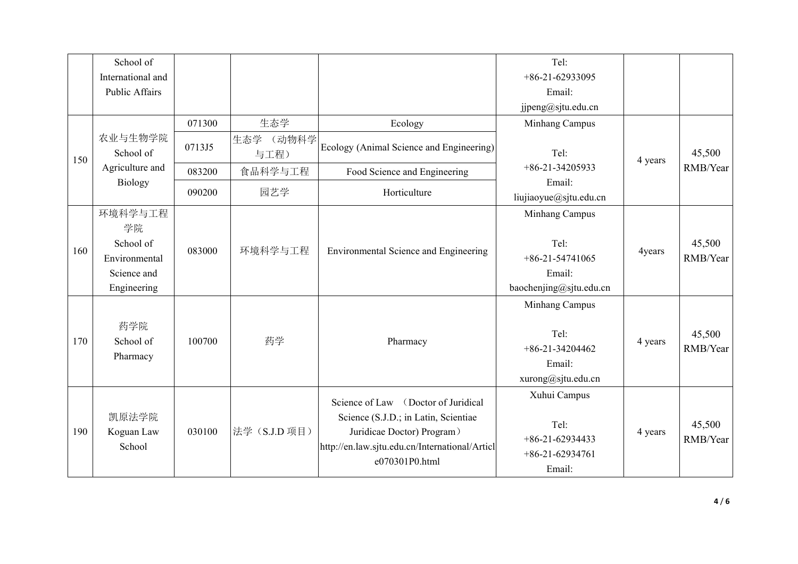|     | School of                                                                 |        |                   |                                                                                                                                                                               | Tel:                                                                             |         |                    |
|-----|---------------------------------------------------------------------------|--------|-------------------|-------------------------------------------------------------------------------------------------------------------------------------------------------------------------------|----------------------------------------------------------------------------------|---------|--------------------|
|     | International and                                                         |        |                   |                                                                                                                                                                               | $+86-21-62933095$                                                                |         |                    |
|     | Public Affairs                                                            |        |                   |                                                                                                                                                                               | Email:                                                                           |         |                    |
|     |                                                                           |        |                   |                                                                                                                                                                               | jjpeng@sjtu.edu.cn                                                               |         |                    |
|     |                                                                           | 071300 | 生态学               | Ecology                                                                                                                                                                       | Minhang Campus                                                                   |         | 45,500<br>RMB/Year |
| 150 | 农业与生物学院<br>School of                                                      | 0713J5 | 生态学 (动物科学<br>与工程) | Ecology (Animal Science and Engineering)                                                                                                                                      | Tel:<br>$+86-21-34205933$                                                        | 4 years |                    |
|     | Agriculture and                                                           | 083200 | 食品科学与工程           | Food Science and Engineering                                                                                                                                                  |                                                                                  |         |                    |
|     | <b>Biology</b>                                                            | 090200 | 园艺学               | Email:<br>Horticulture<br>liujiaoyue@sjtu.edu.cn                                                                                                                              |                                                                                  |         |                    |
| 160 | 环境科学与工程<br>学院<br>School of<br>Environmental<br>Science and<br>Engineering | 083000 | 环境科学与工程           | Environmental Science and Engineering                                                                                                                                         | Minhang Campus<br>Tel:<br>$+86-21-54741065$<br>Email:<br>baochenjing@sjtu.edu.cn | 4years  | 45,500<br>RMB/Year |
| 170 | 药学院<br>School of<br>Pharmacy                                              | 100700 | 药学                | Pharmacy                                                                                                                                                                      | Minhang Campus<br>Tel:<br>$+86-21-34204462$<br>Email:<br>xurong@sjtu.edu.cn      | 4 years | 45,500<br>RMB/Year |
| 190 | 凯原法学院<br>Koguan Law<br>School                                             | 030100 | 法学 (S.J.D 项目)     | Science of Law (Doctor of Juridical<br>Science (S.J.D.; in Latin, Scientiae<br>Juridicae Doctor) Program)<br>http://en.law.sjtu.edu.cn/International/Articl<br>e070301P0.html | Xuhui Campus<br>Tel:<br>$+86-21-62934433$<br>$+86-21-62934761$<br>Email:         | 4 years | 45,500<br>RMB/Year |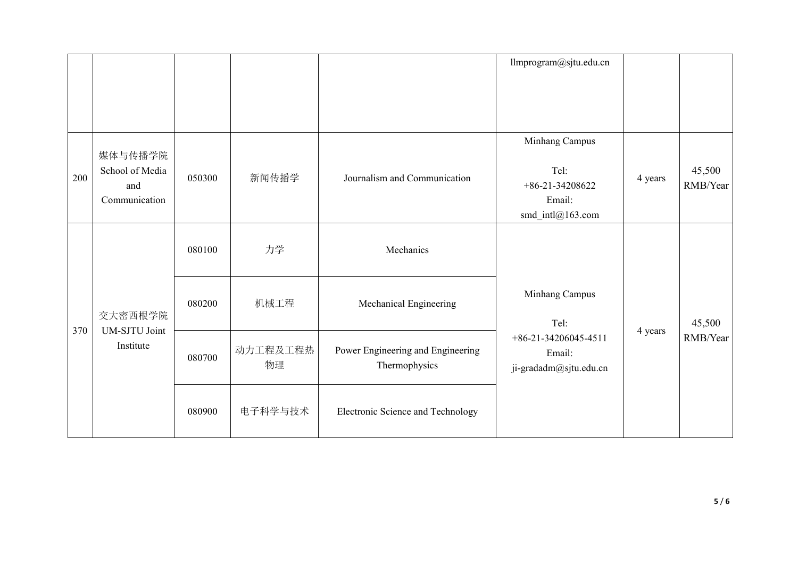|     |                                                    |        |                |                                                    | llmprogram@sjtu.edu.cn                                                    |         |                    |
|-----|----------------------------------------------------|--------|----------------|----------------------------------------------------|---------------------------------------------------------------------------|---------|--------------------|
| 200 | 媒体与传播学院<br>School of Media<br>and<br>Communication | 050300 | 新闻传播学          | Journalism and Communication                       | Minhang Campus<br>Tel:<br>$+86-21-34208622$<br>Email:<br>smd_intl@163.com | 4 years | 45,500<br>RMB/Year |
| 370 |                                                    | 080100 | 力学             | Mechanics                                          |                                                                           |         |                    |
|     | 交大密西根学院                                            | 080200 | 机械工程           | Minhang Campus<br>Mechanical Engineering<br>Tel:   |                                                                           | 45,500  |                    |
|     | UM-SJTU Joint<br>Institute                         | 080700 | 动力工程及工程热<br>物理 | Power Engineering and Engineering<br>Thermophysics | $+86-21-34206045-4511$<br>Email:<br>ji-gradadm@sjtu.edu.cn                | 4 years | RMB/Year           |
|     |                                                    | 080900 | 电子科学与技术        | Electronic Science and Technology                  |                                                                           |         |                    |